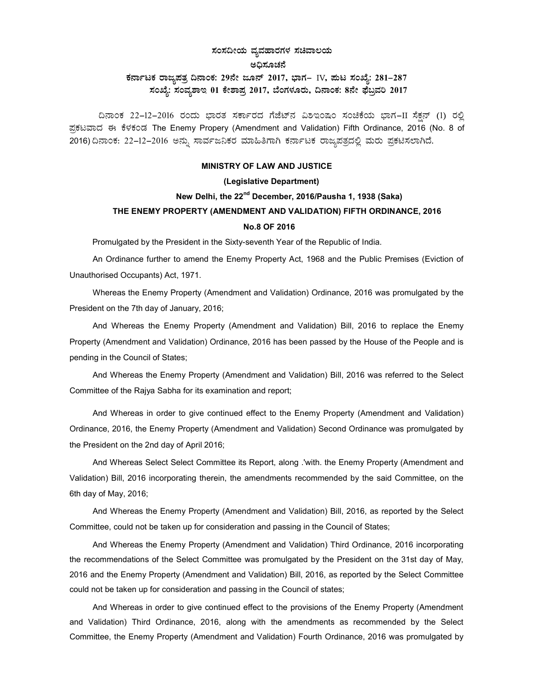### ಸಂಸದೀಯ ವ್ಯವಹಾರಗಳ ಸಚಿವಾಲಯ

#### ಅಧಿಸೂಚನೆ

## ಕರ್ನಾಟಕ ರಾಜ್ಯಪತ್ರ ದಿನಾಂಕ: 29ನೇ ಜೂನ್ 2017, ಭಾಗ– IV, ಮಟ ಸಂಖ್ಯೆ: 281-287 ಸಂಖ್ಯೆ: ಸಂವ್ಯಶಾಇ 01 ಕೇಶಾಪ್ರ 2017, ಬೆಂಗಳೂರು, ದಿನಾಂಕ: 8ನೇ ಫೆಬ್ರವರಿ 2017

ದಿನಾಂಕ 22-12-2016 ರಂದು ಭಾರತ ಸರ್ಕಾರದ ಗೆಜೆಟ್ನ್ ವಿಶಇಂಷಂ ಸಂಚಿಕೆಯ ಭಾಗ−II ಸೆಕ್ಷನ್ (1) ರಲ್ಲಿ ಪ್ರಕಟವಾದ ಈ ಕೆಳಕಂಡ The Enemy Propery (Amendment and Validation) Fifth Ordinance, 2016 (No. 8 of 2016) ದಿನಾಂಕ: 22-12-2016 ಅನ್ನು ಸಾರ್ವಜನಿಕರ ಮಾಹಿತಿಗಾಗಿ ಕರ್ನಾಟಕ ರಾಜ್ಯಪತ್ರದಲ್ಲಿ ಮರು ಪ್ರಕಟಿಸಲಾಗಿದೆ.

#### MINISTRY OF LAW AND JUSTICE

#### (Legislative Department)

# New Delhi, the 22<sup>nd</sup> December, 2016/Pausha 1, 1938 (Saka) THE ENEMY PROPERTY (AMENDMENT AND VALIDATION) FIFTH ORDINANCE, 2016 No.8 OF 2016

Promulgated by the President in the Sixty-seventh Year of the Republic of India.

An Ordinance further to amend the Enemy Property Act, 1968 and the Public Premises (Eviction of Unauthorised Occupants) Act, 1971.

Whereas the Enemy Property (Amendment and Validation) Ordinance, 2016 was promulgated by the President on the 7th day of January, 2016;

And Whereas the Enemy Property (Amendment and Validation) Bill, 2016 to replace the Enemy Property (Amendment and Validation) Ordinance, 2016 has been passed by the House of the People and is pending in the Council of States;

And Whereas the Enemy Property (Amendment and Validation) Bill, 2016 was referred to the Select Committee of the Rajya Sabha for its examination and report;

And Whereas in order to give continued effect to the Enemy Property (Amendment and Validation) Ordinance, 2016, the Enemy Property (Amendment and Validation) Second Ordinance was promulgated by the President on the 2nd day of April 2016;

And Whereas Select Select Committee its Report, along .'with. the Enemy Property (Amendment and Validation) Bill, 2016 incorporating therein, the amendments recommended by the said Committee, on the 6th day of May, 2016;

And Whereas the Enemy Property (Amendment and Validation) Bill, 2016, as reported by the Select Committee, could not be taken up for consideration and passing in the Council of States;

And Whereas the Enemy Property (Amendment and Validation) Third Ordinance, 2016 incorporating the recommendations of the Select Committee was promulgated by the President on the 31st day of May, 2016 and the Enemy Property (Amendment and Validation) Bill, 2016, as reported by the Select Committee could not be taken up for consideration and passing in the Council of states;

And Whereas in order to give continued effect to the provisions of the Enemy Property (Amendment and Validation) Third Ordinance, 2016, along with the amendments as recommended by the Select Committee, the Enemy Property (Amendment and Validation) Fourth Ordinance, 2016 was promulgated by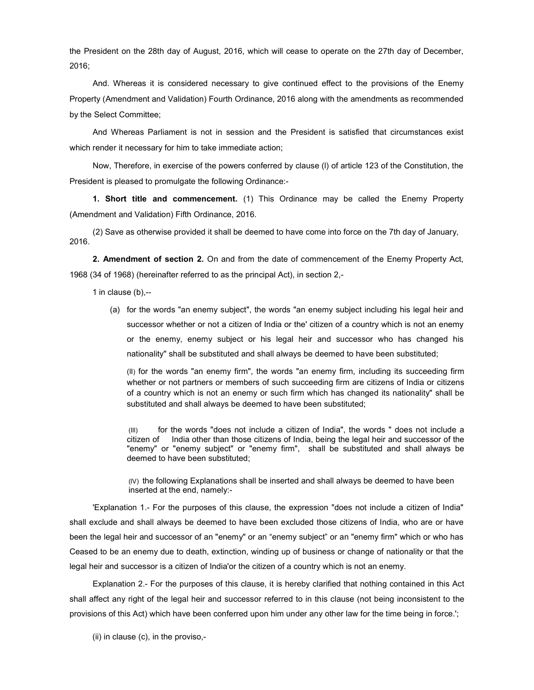the President on the 28th day of August, 2016, which will cease to operate on the 27th day of December, 2016;

And. Whereas it is considered necessary to give continued effect to the provisions of the Enemy Property (Amendment and Validation) Fourth Ordinance, 2016 along with the amendments as recommended by the Select Committee;

And Whereas Parliament is not in session and the President is satisfied that circumstances exist which render it necessary for him to take immediate action;

Now, Therefore, in exercise of the powers conferred by clause (l) of article 123 of the Constitution, the President is pleased to promulgate the following Ordinance:-

1. Short title and commencement. (1) This Ordinance may be called the Enemy Property (Amendment and Validation) Fifth Ordinance, 2016.

(2) Save as otherwise provided it shall be deemed to have come into force on the 7th day of January, 2016.

2. Amendment of section 2. On and from the date of commencement of the Enemy Property Act, 1968 (34 of 1968) (hereinafter referred to as the principal Act), in section 2,-

1 in clause (b),--

(a) for the words "an enemy subject", the words "an enemy subject including his legal heir and successor whether or not a citizen of India or the' citizen of a country which is not an enemy or the enemy, enemy subject or his legal heir and successor who has changed his nationality" shall be substituted and shall always be deemed to have been substituted;

(lI) for the words "an enemy firm", the words "an enemy firm, including its succeeding firm whether or not partners or members of such succeeding firm are citizens of India or citizens of a country which is not an enemy or such firm which has changed its nationality" shall be substituted and shall always be deemed to have been substituted;

 (Ill) for the words "does not include a citizen of India", the words " does not include a citizen of India other than those citizens of India, being the legal heir and successor of the "enemy" or "enemy subject" or "enemy firm", shall be substituted and shall always be deemed to have been substituted;

(lV) the following Explanations shall be inserted and shall always be deemed to have been inserted at the end, namely:-

'Explanation 1.- For the purposes of this clause, the expression "does not include a citizen of India" shall exclude and shall always be deemed to have been excluded those citizens of India, who are or have been the legal heir and successor of an "enemy" or an "enemy subject" or an "enemy firm" which or who has Ceased to be an enemy due to death, extinction, winding up of business or change of nationality or that the legal heir and successor is a citizen of India'or the citizen of a country which is not an enemy.

Explanation 2.- For the purposes of this clause, it is hereby clarified that nothing contained in this Act shall affect any right of the legal heir and successor referred to in this clause (not being inconsistent to the provisions of this Act) which have been conferred upon him under any other law for the time being in force.';

(ii) in clause (c), in the proviso,-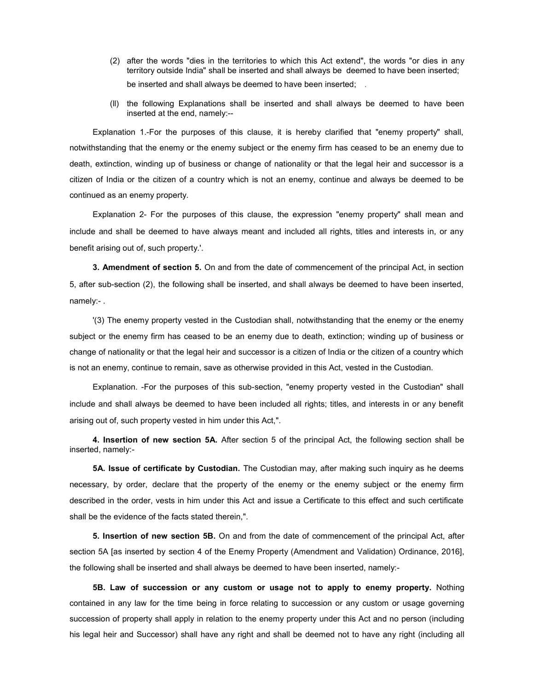- (2) after the words "dies in the territories to which this Act extend", the words "or dies in any territory outside India" shall be inserted and shall always be deemed to have been inserted; be inserted and shall always be deemed to have been inserted;
- (ll) the following Explanations shall be inserted and shall always be deemed to have been inserted at the end, namely:--

Explanation 1.-For the purposes of this clause, it is hereby clarified that "enemy property" shall, notwithstanding that the enemy or the enemy subject or the enemy firm has ceased to be an enemy due to death, extinction, winding up of business or change of nationality or that the legal heir and successor is a citizen of India or the citizen of a country which is not an enemy, continue and always be deemed to be continued as an enemy property.

Explanation 2- For the purposes of this clause, the expression "enemy property" shall mean and include and shall be deemed to have always meant and included all rights, titles and interests in, or any benefit arising out of, such property.'.

3. Amendment of section 5. On and from the date of commencement of the principal Act, in section 5, after sub-section (2), the following shall be inserted, and shall always be deemed to have been inserted, namely:- .

'(3) The enemy property vested in the Custodian shall, notwithstanding that the enemy or the enemy subject or the enemy firm has ceased to be an enemy due to death, extinction; winding up of business or change of nationality or that the legal heir and successor is a citizen of India or the citizen of a country which is not an enemy, continue to remain, save as otherwise provided in this Act, vested in the Custodian.

Explanation. -For the purposes of this sub-section, "enemy property vested in the Custodian" shall include and shall always be deemed to have been included all rights; titles, and interests in or any benefit arising out of, such property vested in him under this Act,".

4. Insertion of new section 5A. After section 5 of the principal Act, the following section shall be inserted, namely:-

5A. Issue of certificate by Custodian. The Custodian may, after making such inquiry as he deems necessary, by order, declare that the property of the enemy or the enemy subject or the enemy firm described in the order, vests in him under this Act and issue a Certificate to this effect and such certificate shall be the evidence of the facts stated therein,".

5. Insertion of new section 5B. On and from the date of commencement of the principal Act, after section 5A [as inserted by section 4 of the Enemy Property (Amendment and Validation) Ordinance, 2016], the following shall be inserted and shall always be deemed to have been inserted, namely:-

5B. Law of succession or any custom or usage not to apply to enemy property. Nothing contained in any law for the time being in force relating to succession or any custom or usage governing succession of property shall apply in relation to the enemy property under this Act and no person (including his legal heir and Successor) shall have any right and shall be deemed not to have any right (including all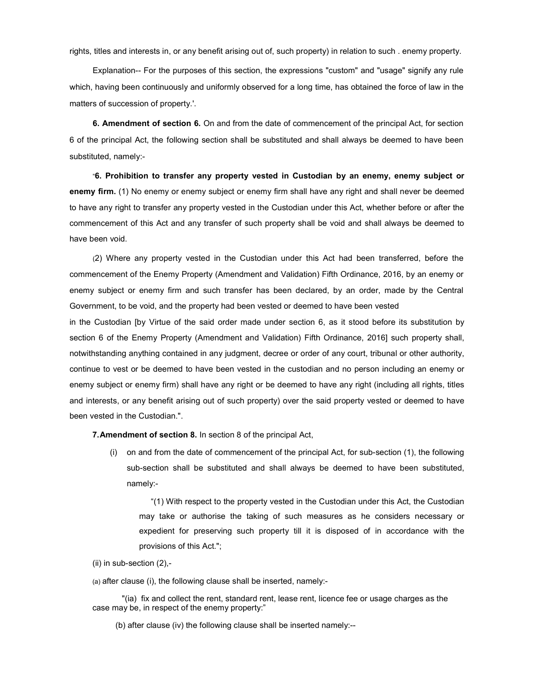rights, titles and interests in, or any benefit arising out of, such property) in relation to such . enemy property.

Explanation-- For the purposes of this section, the expressions "custom" and "usage" signify any rule which, having been continuously and uniformly observed for a long time, has obtained the force of law in the matters of succession of property.'.

6. Amendment of section 6. On and from the date of commencement of the principal Act, for section 6 of the principal Act, the following section shall be substituted and shall always be deemed to have been substituted, namely:-

"6. Prohibition to transfer any property vested in Custodian by an enemy, enemy subject or enemy firm. (1) No enemy or enemy subject or enemy firm shall have any right and shall never be deemed to have any right to transfer any property vested in the Custodian under this Act, whether before or after the commencement of this Act and any transfer of such property shall be void and shall always be deemed to have been void.

(2) Where any property vested in the Custodian under this Act had been transferred, before the commencement of the Enemy Property (Amendment and Validation) Fifth Ordinance, 2016, by an enemy or enemy subject or enemy firm and such transfer has been declared, by an order, made by the Central Government, to be void, and the property had been vested or deemed to have been vested

in the Custodian [by Virtue of the said order made under section 6, as it stood before its substitution by section 6 of the Enemy Property (Amendment and Validation) Fifth Ordinance, 2016] such property shall, notwithstanding anything contained in any judgment, decree or order of any court, tribunal or other authority, continue to vest or be deemed to have been vested in the custodian and no person including an enemy or enemy subject or enemy firm) shall have any right or be deemed to have any right (including all rights, titles and interests, or any benefit arising out of such property) over the said property vested or deemed to have been vested in the Custodian.".

7. Amendment of section 8. In section 8 of the principal Act,

(i) on and from the date of commencement of the principal Act, for sub-section (1), the following sub-section shall be substituted and shall always be deemed to have been substituted, namely:-

"(1) With respect to the property vested in the Custodian under this Act, the Custodian may take or authorise the taking of such measures as he considers necessary or expedient for preserving such property till it is disposed of in accordance with the provisions of this Act.";

(ii) in sub-section (2),-

(a) after clause (i), the following clause shall be inserted, namely:-

"(ia) fix and collect the rent, standard rent, lease rent, licence fee or usage charges as the case may be, in respect of the enemy property:"

(b) after clause (iv) the following clause shall be inserted namely:--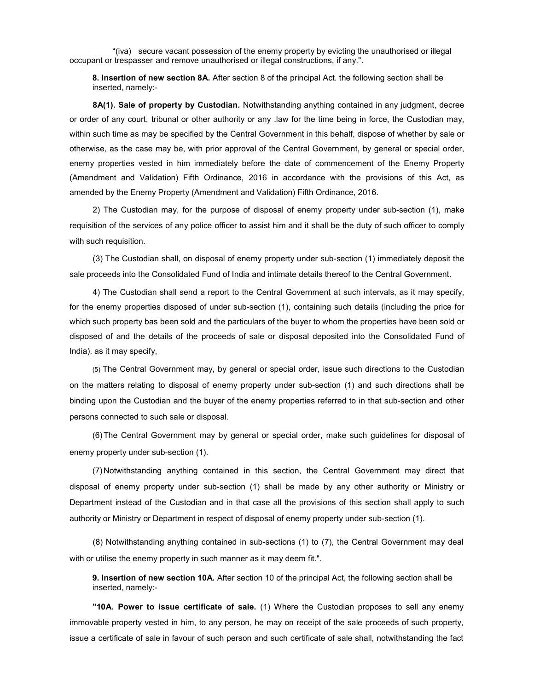"(iva) secure vacant possession of the enemy property by evicting the unauthorised or illegal occupant or trespasser and remove unauthorised or illegal constructions, if any.".

8. Insertion of new section 8A. After section 8 of the principal Act. the following section shall be inserted, namely:-

8A(1). Sale of property by Custodian. Notwithstanding anything contained in any judgment, decree or order of any court, tribunal or other authority or any .law for the time being in force, the Custodian may, within such time as may be specified by the Central Government in this behalf, dispose of whether by sale or otherwise, as the case may be, with prior approval of the Central Government, by general or special order, enemy properties vested in him immediately before the date of commencement of the Enemy Property (Amendment and Validation) Fifth Ordinance, 2016 in accordance with the provisions of this Act, as amended by the Enemy Property (Amendment and Validation) Fifth Ordinance, 2016.

2) The Custodian may, for the purpose of disposal of enemy property under sub-section (1), make requisition of the services of any police officer to assist him and it shall be the duty of such officer to comply with such requisition.

(3) The Custodian shall, on disposal of enemy property under sub-section (1) immediately deposit the sale proceeds into the Consolidated Fund of India and intimate details thereof to the Central Government.

4) The Custodian shall send a report to the Central Government at such intervals, as it may specify, for the enemy properties disposed of under sub-section (1), containing such details (including the price for which such property bas been sold and the particulars of the buyer to whom the properties have been sold or disposed of and the details of the proceeds of sale or disposal deposited into the Consolidated Fund of India). as it may specify,

(5) The Central Government may, by general or special order, issue such directions to the Custodian on the matters relating to disposal of enemy property under sub-section (1) and such directions shall be binding upon the Custodian and the buyer of the enemy properties referred to in that sub-section and other persons connected to such sale or disposal.

(6) The Central Government may by general or special order, make such guidelines for disposal of enemy property under sub-section (1).

(7) Notwithstanding anything contained in this section, the Central Government may direct that disposal of enemy property under sub-section (1) shall be made by any other authority or Ministry or Department instead of the Custodian and in that case all the provisions of this section shall apply to such authority or Ministry or Department in respect of disposal of enemy property under sub-section (1).

(8) Notwithstanding anything contained in sub-sections (1) to (7), the Central Government may deal with or utilise the enemy property in such manner as it may deem fit.".

9. Insertion of new section 10A. After section 10 of the principal Act, the following section shall be inserted, namely:-

"10A. Power to issue certificate of sale. (1) Where the Custodian proposes to sell any enemy immovable property vested in him, to any person, he may on receipt of the sale proceeds of such property, issue a certificate of sale in favour of such person and such certificate of sale shall, notwithstanding the fact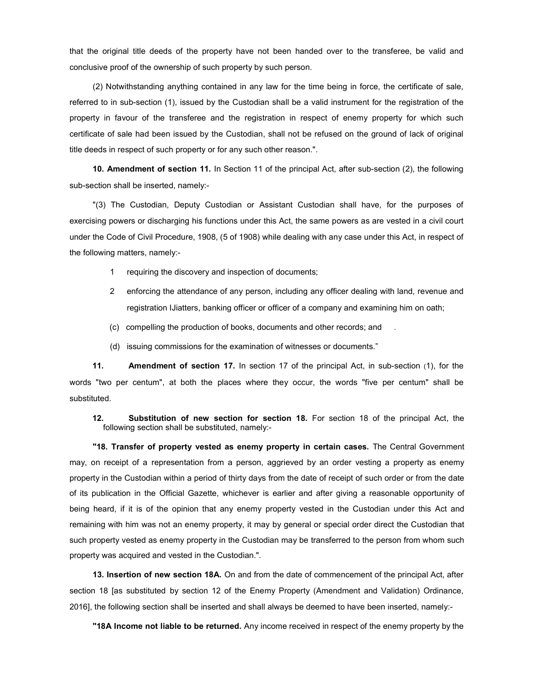that the original title deeds of the property have not been handed over to the transferee, be valid and conclusive proof of the ownership of such property by such person.

(2) Notwithstanding anything contained in any law for the time being in force, the certificate of sale, referred to in sub-section (1), issued by the Custodian shall be a valid instrument for the registration of the property in favour of the transferee and the registration in respect of enemy property for which such certificate of sale had been issued by the Custodian, shall not be refused on the ground of lack of original title deeds in respect of such property or for any such other reason.".

10. Amendment of section 11. In Section 11 of the principal Act, after sub-section (2), the following sub-section shall be inserted, namely:-

"(3) The Custodian, Deputy Custodian or Assistant Custodian shall have, for the purposes of exercising powers or discharging his functions under this Act, the same powers as are vested in a civil court under the Code of Civil Procedure, 1908, (5 of 1908) while dealing with any case under this Act, in respect of the following matters, namely:-

- 1 requiring the discovery and inspection of documents;
- 2 enforcing the attendance of any person, including any officer dealing with land, revenue and registration IJiatters, banking officer or officer of a company and examining him on oath;
- (c) compelling the production of books, documents and other records; and .
- (d) issuing commissions for the examination of witnesses or documents."

11. Amendment of section 17. In section 17 of the principal Act, in sub-section (1), for the words "two per centum", at both the places where they occur, the words "five per centum" shall be substituted.

12. Substitution of new section for section 18. For section 18 of the principal Act, the following section shall be substituted, namely:-

"18. Transfer of property vested as enemy property in certain cases. The Central Government may, on receipt of a representation from a person, aggrieved by an order vesting a property as enemy property in the Custodian within a period of thirty days from the date of receipt of such order or from the date of its publication in the Official Gazette, whichever is earlier and after giving a reasonable opportunity of being heard, if it is of the opinion that any enemy property vested in the Custodian under this Act and remaining with him was not an enemy property, it may by general or special order direct the Custodian that such property vested as enemy property in the Custodian may be transferred to the person from whom such property was acquired and vested in the Custodian.".

13. Insertion of new section 18A. On and from the date of commencement of the principal Act, after section 18 [as substituted by section 12 of the Enemy Property (Amendment and Validation) Ordinance, 2016], the following section shall be inserted and shall always be deemed to have been inserted, namely:-

"18A Income not liable to be returned. Any income received in respect of the enemy property by the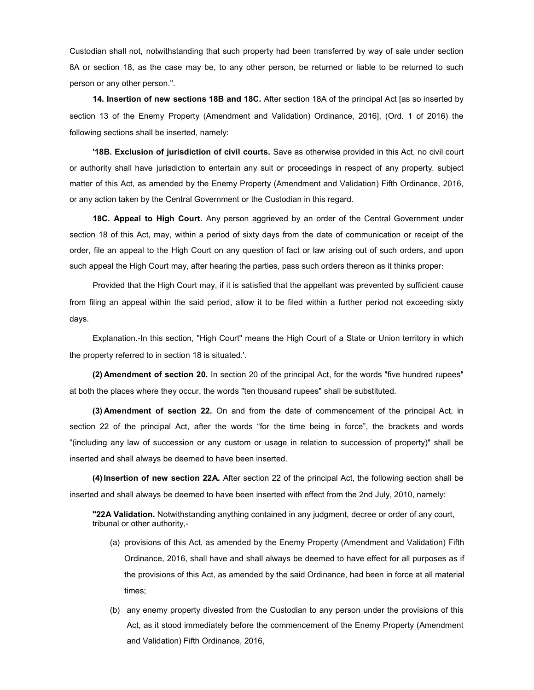Custodian shall not, notwithstanding that such property had been transferred by way of sale under section 8A or section 18, as the case may be, to any other person, be returned or liable to be returned to such person or any other person.".

14. Insertion of new sections 18B and 18C. After section 18A of the principal Act [as so inserted by section 13 of the Enemy Property (Amendment and Validation) Ordinance, 2016], (Ord. 1 of 2016) the following sections shall be inserted, namely:

'18B. Exclusion of jurisdiction of civil courts. Save as otherwise provided in this Act, no civil court or authority shall have jurisdiction to entertain any suit or proceedings in respect of any property. subject matter of this Act, as amended by the Enemy Property (Amendment and Validation) Fifth Ordinance, 2016, or any action taken by the Central Government or the Custodian in this regard.

18C. Appeal to High Court. Any person aggrieved by an order of the Central Government under section 18 of this Act, may, within a period of sixty days from the date of communication or receipt of the order, file an appeal to the High Court on any question of fact or law arising out of such orders, and upon such appeal the High Court may, after hearing the parties, pass such orders thereon as it thinks proper:

Provided that the High Court may, if it is satisfied that the appellant was prevented by sufficient cause from filing an appeal within the said period, allow it to be filed within a further period not exceeding sixty days.

Explanation.-In this section, "High Court" means the High Court of a State or Union territory in which the property referred to in section 18 is situated.'.

(2) Amendment of section 20. In section 20 of the principal Act, for the words "five hundred rupees" at both the places where they occur, the words "ten thousand rupees" shall be substituted.

(3) Amendment of section 22. On and from the date of commencement of the principal Act, in section 22 of the principal Act, after the words "for the time being in force", the brackets and words "(including any law of succession or any custom or usage in relation to succession of property)" shall be inserted and shall always be deemed to have been inserted.

(4) Insertion of new section 22A. After section 22 of the principal Act, the following section shall be inserted and shall always be deemed to have been inserted with effect from the 2nd July, 2010, namely:

"22A Validation. Notwithstanding anything contained in any judgment, decree or order of any court, tribunal or other authority,-

- (a) provisions of this Act, as amended by the Enemy Property (Amendment and Validation) Fifth Ordinance, 2016, shall have and shall always be deemed to have effect for all purposes as if the provisions of this Act, as amended by the said Ordinance, had been in force at all material times;
- (b) any enemy property divested from the Custodian to any person under the provisions of this Act, as it stood immediately before the commencement of the Enemy Property (Amendment and Validation) Fifth Ordinance, 2016,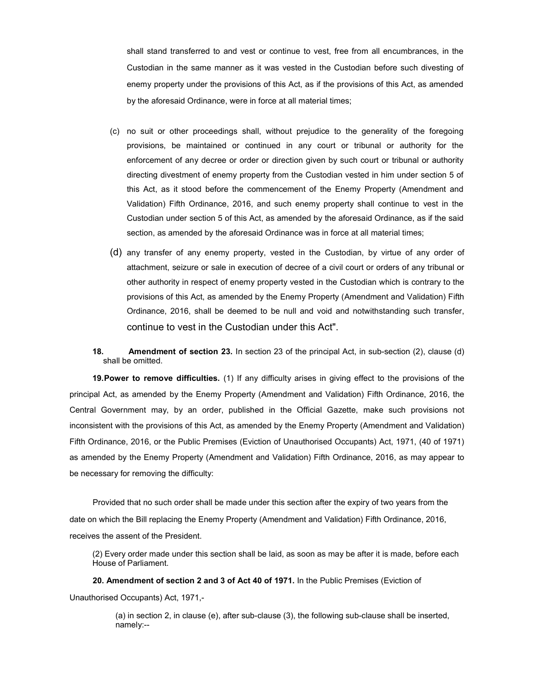shall stand transferred to and vest or continue to vest, free from all encumbrances, in the Custodian in the same manner as it was vested in the Custodian before such divesting of enemy property under the provisions of this Act, as if the provisions of this Act, as amended by the aforesaid Ordinance, were in force at all material times;

- (c) no suit or other proceedings shall, without prejudice to the generality of the foregoing provisions, be maintained or continued in any court or tribunal or authority for the enforcement of any decree or order or direction given by such court or tribunal or authority directing divestment of enemy property from the Custodian vested in him under section 5 of this Act, as it stood before the commencement of the Enemy Property (Amendment and Validation) Fifth Ordinance, 2016, and such enemy property shall continue to vest in the Custodian under section 5 of this Act, as amended by the aforesaid Ordinance, as if the said section, as amended by the aforesaid Ordinance was in force at all material times;
- (d) any transfer of any enemy property, vested in the Custodian, by virtue of any order of attachment, seizure or sale in execution of decree of a civil court or orders of any tribunal or other authority in respect of enemy property vested in the Custodian which is contrary to the provisions of this Act, as amended by the Enemy Property (Amendment and Validation) Fifth Ordinance, 2016, shall be deemed to be null and void and notwithstanding such transfer, continue to vest in the Custodian under this Act".
- 18. Amendment of section 23. In section 23 of the principal Act, in sub-section (2), clause (d) shall be omitted.

19. Power to remove difficulties. (1) If any difficulty arises in giving effect to the provisions of the principal Act, as amended by the Enemy Property (Amendment and Validation) Fifth Ordinance, 2016, the Central Government may, by an order, published in the Official Gazette, make such provisions not inconsistent with the provisions of this Act, as amended by the Enemy Property (Amendment and Validation) Fifth Ordinance, 2016, or the Public Premises (Eviction of Unauthorised Occupants) Act, 1971, (40 of 1971) as amended by the Enemy Property (Amendment and Validation) Fifth Ordinance, 2016, as may appear to be necessary for removing the difficulty:

Provided that no such order shall be made under this section after the expiry of two years from the date on which the Bill replacing the Enemy Property (Amendment and Validation) Fifth Ordinance, 2016, receives the assent of the President.

(2) Every order made under this section shall be laid, as soon as may be after it is made, before each House of Parliament.

20. Amendment of section 2 and 3 of Act 40 of 1971. In the Public Premises (Eviction of Unauthorised Occupants) Act, 1971,-

> (a) in section 2, in clause (e), after sub-clause (3), the following sub-clause shall be inserted, namely:--